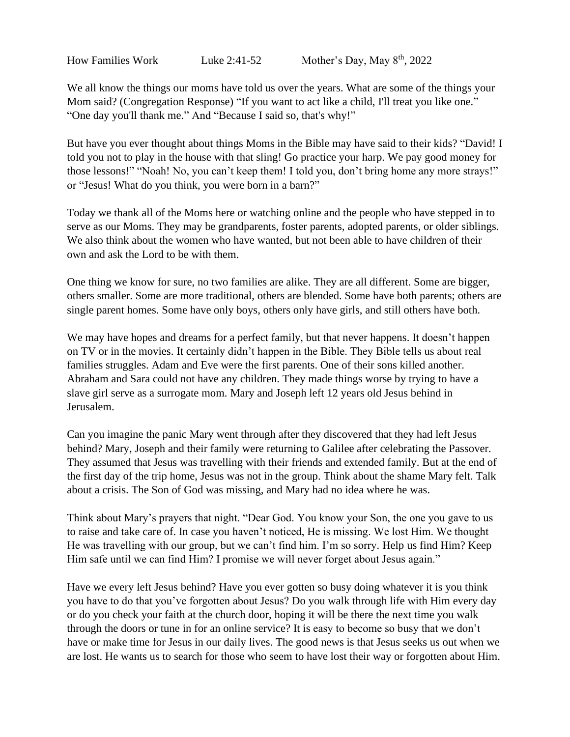We all know the things our moms have told us over the years. What are some of the things your Mom said? (Congregation Response) "If you want to act like a child, I'll treat you like one." "One day you'll thank me." And "Because I said so, that's why!"

But have you ever thought about things Moms in the Bible may have said to their kids? "David! I told you not to play in the house with that sling! Go practice your harp. We pay good money for those lessons!" "Noah! No, you can't keep them! I told you, don't bring home any more strays!" or "Jesus! What do you think, you were born in a barn?"

Today we thank all of the Moms here or watching online and the people who have stepped in to serve as our Moms. They may be grandparents, foster parents, adopted parents, or older siblings. We also think about the women who have wanted, but not been able to have children of their own and ask the Lord to be with them.

One thing we know for sure, no two families are alike. They are all different. Some are bigger, others smaller. Some are more traditional, others are blended. Some have both parents; others are single parent homes. Some have only boys, others only have girls, and still others have both.

We may have hopes and dreams for a perfect family, but that never happens. It doesn't happen on TV or in the movies. It certainly didn't happen in the Bible. They Bible tells us about real families struggles. Adam and Eve were the first parents. One of their sons killed another. Abraham and Sara could not have any children. They made things worse by trying to have a slave girl serve as a surrogate mom. Mary and Joseph left 12 years old Jesus behind in Jerusalem.

Can you imagine the panic Mary went through after they discovered that they had left Jesus behind? Mary, Joseph and their family were returning to Galilee after celebrating the Passover. They assumed that Jesus was travelling with their friends and extended family. But at the end of the first day of the trip home, Jesus was not in the group. Think about the shame Mary felt. Talk about a crisis. The Son of God was missing, and Mary had no idea where he was.

Think about Mary's prayers that night. "Dear God. You know your Son, the one you gave to us to raise and take care of. In case you haven't noticed, He is missing. We lost Him. We thought He was travelling with our group, but we can't find him. I'm so sorry. Help us find Him? Keep Him safe until we can find Him? I promise we will never forget about Jesus again."

Have we every left Jesus behind? Have you ever gotten so busy doing whatever it is you think you have to do that you've forgotten about Jesus? Do you walk through life with Him every day or do you check your faith at the church door, hoping it will be there the next time you walk through the doors or tune in for an online service? It is easy to become so busy that we don't have or make time for Jesus in our daily lives. The good news is that Jesus seeks us out when we are lost. He wants us to search for those who seem to have lost their way or forgotten about Him.